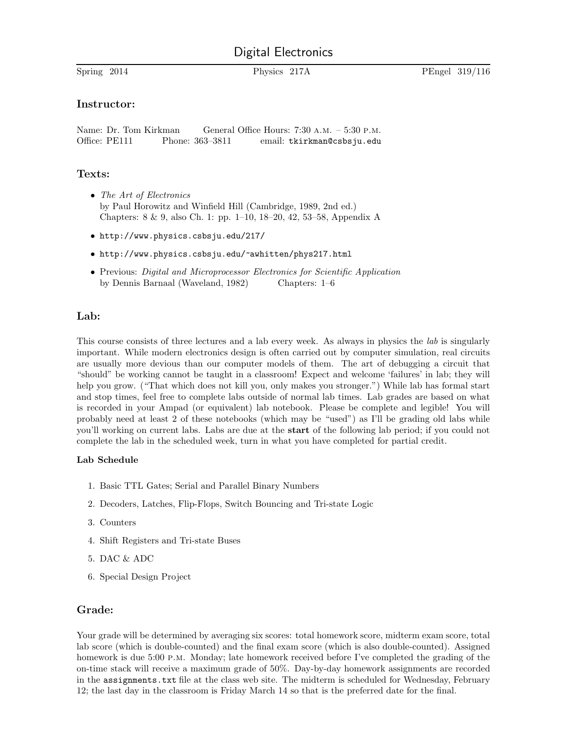# Digital Electronics

Spring 2014 Physics 217A PEngel 319/116

### Instructor:

Name: Dr. Tom Kirkman General Office Hours: 7:30 A.M. – 5:30 P.M. Office: PE111 Phone: 363-3811 email: tkirkman@csbsju.edu

## Texts:

- The Art of Electronics by Paul Horowitz and Winfield Hill (Cambridge, 1989, 2nd ed.) Chapters: 8 & 9, also Ch. 1: pp. 1–10, 18–20, 42, 53–58, Appendix A
- http://www.physics.csbsju.edu/217/
- http://www.physics.csbsju.edu/~awhitten/phys217.html
- Previous: Digital and Microprocessor Electronics for Scientific Application by Dennis Barnaal (Waveland, 1982) Chapters: 1–6

## Lab:

This course consists of three lectures and a lab every week. As always in physics the lab is singularly important. While modern electronics design is often carried out by computer simulation, real circuits are usually more devious than our computer models of them. The art of debugging a circuit that "should" be working cannot be taught in a classroom! Expect and welcome 'failures' in lab; they will help you grow. ("That which does not kill you, only makes you stronger.") While lab has formal start and stop times, feel free to complete labs outside of normal lab times. Lab grades are based on what is recorded in your Ampad (or equivalent) lab notebook. Please be complete and legible! You will probably need at least 2 of these notebooks (which may be "used") as I'll be grading old labs while you'll working on current labs. Labs are due at the start of the following lab period; if you could not complete the lab in the scheduled week, turn in what you have completed for partial credit.

#### Lab Schedule

- 1. Basic TTL Gates; Serial and Parallel Binary Numbers
- 2. Decoders, Latches, Flip-Flops, Switch Bouncing and Tri-state Logic
- 3. Counters
- 4. Shift Registers and Tri-state Buses
- 5. DAC & ADC
- 6. Special Design Project

## Grade:

Your grade will be determined by averaging six scores: total homework score, midterm exam score, total lab score (which is double-counted) and the final exam score (which is also double-counted). Assigned homework is due 5:00 p.m. Monday; late homework received before I've completed the grading of the on-time stack will receive a maximum grade of 50%. Day-by-day homework assignments are recorded in the assignments.txt file at the class web site. The midterm is scheduled for Wednesday, February 12; the last day in the classroom is Friday March 14 so that is the preferred date for the final.